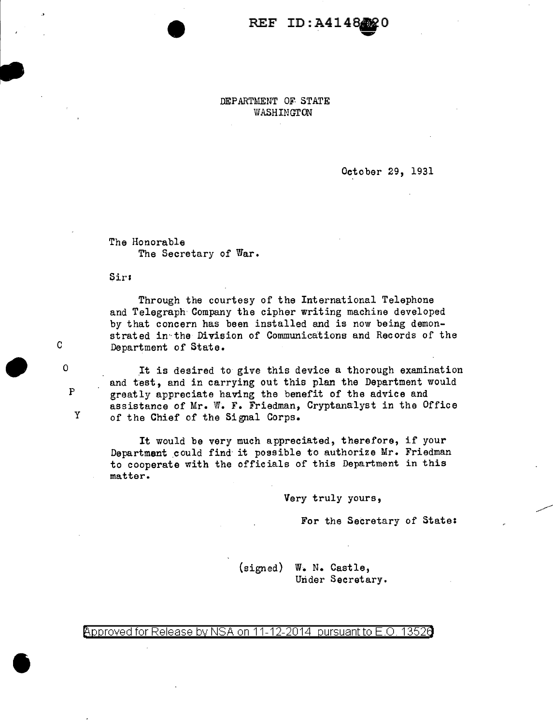## REF ID:A4148 **0**

DEPARTMENT OF STATE WASHINGTON

October 29, 1931

The Honorable The Secretary of War.

Sirs

c

p

y

 $\begin{array}{ccc} & & c \\ & & \circ \\ & & & \circ \end{array}$ 

•

Through the courtesy of the International Telephone and Telegraph Company the cipher writing machine developed by that concern has been installed and is now being demonstrated in the Division of Communications and Records of the Department of State.

It is desired to give this device a thorough examination and test, and in carrying out this plan the Department would greatly appreciate having the benefit of the advice and assistance of Mr. W. F. Friedman, Cryptanalyst in the Office of the Chief of the Signal Corps.

It would be very much appreciated, therefore, if your Department could find it possible to authorize Mr. Friedman to cooperate with the officials of this Department in this matter.

Very truly yours,

For the Secretary of State:

(signed) w. N. Castle, Under Secretary.

Approved for Release by NSA on 11-12-2014 pursuant to E.O. 13526